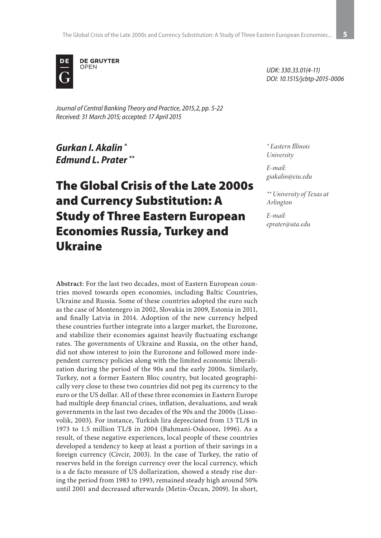

*Journal of Central Banking Theory and Practice, 2015,2, pp. 5-22 Received: 31 March 2015; accepted: 17 April 2015*

*Gurkan I. Akalin \* Edmund L. Prater \*\**

# The Global Crisis of the Late 2000s and Currency Substitution: A Study of Three Eastern European Economies Russia, Turkey and Ukraine

**Abstract**: For the last two decades, most of Eastern European countries moved towards open economies, including Baltic Countries, Ukraine and Russia. Some of these countries adopted the euro such as the case of Montenegro in 2002, Slovakia in 2009, Estonia in 2011, and finally Latvia in 2014. Adoption of the new currency helped these countries further integrate into a larger market, the Eurozone, and stabilize their economies against heavily fluctuating exchange rates. The governments of Ukraine and Russia, on the other hand, did not show interest to join the Eurozone and followed more independent currency policies along with the limited economic liberalization during the period of the 90s and the early 2000s. Similarly, Turkey, not a former Eastern Bloc country, but located geographically very close to these two countries did not peg its currency to the euro or the US dollar. All of these three economies in Eastern Europe had multiple deep financial crises, inflation, devaluations, and weak governments in the last two decades of the 90s and the 2000s (Lissovolik, 2003). For instance, Turkish lira depreciated from 13 TL/\$ in 1973 to 1.5 million TL/\$ in 2004 (Bahmani-Oskooee, 1996). As a result, of these negative experiences, local people of these countries developed a tendency to keep at least a portion of their savings in a foreign currency (Civcir, 2003). In the case of Turkey, the ratio of reserves held in the foreign currency over the local currency, which is a de facto measure of US dollarization, showed a steady rise during the period from 1983 to 1993, remained steady high around 50% until 2001 and decreased afterwards (Metin-Özcan, 2009). In short,

*UDK: 330.33.01(4-11) DOI: 10.1515/jcbtp-2015-0006*

*\* Eastern Illinois University*

*E-mail: giakalin@eiu.edu*

*\*\* University of Texas at Arlington*

*E-mail: eprater@uta.edu*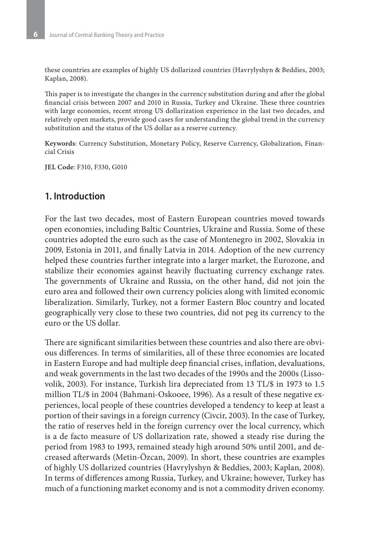these countries are examples of highly US dollarized countries (Havrylyshyn & Beddies, 2003; Kaplan, 2008).

This paper is to investigate the changes in the currency substitution during and after the global financial crisis between 2007 and 2010 in Russia, Turkey and Ukraine. These three countries with large economies, recent strong US dollarization experience in the last two decades, and relatively open markets, provide good cases for understanding the global trend in the currency substitution and the status of the US dollar as a reserve currency.

**Keywords**: Currency Substitution, Monetary Policy, Reserve Currency, Globalization, Financial Crisis

**JEL Code**: F310, F330, G010

#### **1. Introduction**

For the last two decades, most of Eastern European countries moved towards open economies, including Baltic Countries, Ukraine and Russia. Some of these countries adopted the euro such as the case of Montenegro in 2002, Slovakia in 2009, Estonia in 2011, and finally Latvia in 2014. Adoption of the new currency helped these countries further integrate into a larger market, the Eurozone, and stabilize their economies against heavily fluctuating currency exchange rates. The governments of Ukraine and Russia, on the other hand, did not join the euro area and followed their own currency policies along with limited economic liberalization. Similarly, Turkey, not a former Eastern Bloc country and located geographically very close to these two countries, did not peg its currency to the euro or the US dollar.

There are significant similarities between these countries and also there are obvious differences. In terms of similarities, all of these three economies are located in Eastern Europe and had multiple deep financial crises, inflation, devaluations, and weak governments in the last two decades of the 1990s and the 2000s (Lissovolik, 2003). For instance, Turkish lira depreciated from 13 TL/\$ in 1973 to 1.5 million TL/\$ in 2004 (Bahmani-Oskooee, 1996). As a result of these negative experiences, local people of these countries developed a tendency to keep at least a portion of their savings in a foreign currency (Civcir, 2003). In the case of Turkey, the ratio of reserves held in the foreign currency over the local currency, which is a de facto measure of US dollarization rate, showed a steady rise during the period from 1983 to 1993, remained steady high around 50% until 2001, and decreased afterwards (Metin-Özcan, 2009). In short, these countries are examples of highly US dollarized countries (Havrylyshyn & Beddies, 2003; Kaplan, 2008). In terms of differences among Russia, Turkey, and Ukraine; however, Turkey has much of a functioning market economy and is not a commodity driven economy.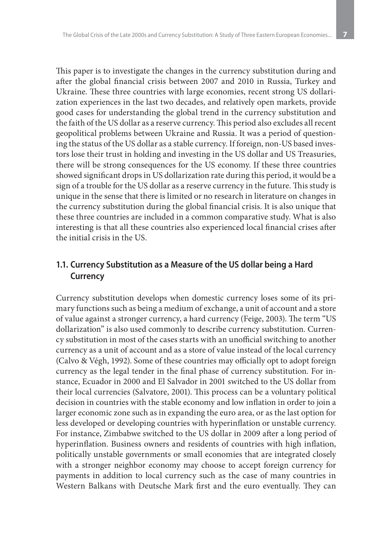This paper is to investigate the changes in the currency substitution during and after the global financial crisis between 2007 and 2010 in Russia, Turkey and Ukraine. These three countries with large economies, recent strong US dollarization experiences in the last two decades, and relatively open markets, provide good cases for understanding the global trend in the currency substitution and the faith of the US dollar as a reserve currency. This period also excludes all recent geopolitical problems between Ukraine and Russia. It was a period of questioning the status of the US dollar as a stable currency. If foreign, non-US based investors lose their trust in holding and investing in the US dollar and US Treasuries, there will be strong consequences for the US economy. If these three countries showed significant drops in US dollarization rate during this period, it would be a sign of a trouble for the US dollar as a reserve currency in the future. This study is unique in the sense that there is limited or no research in literature on changes in the currency substitution during the global financial crisis. It is also unique that these three countries are included in a common comparative study. What is also interesting is that all these countries also experienced local financial crises after the initial crisis in the US.

# **1.1. Currency Substitution as a Measure of the US dollar being a Hard Currency**

Currency substitution develops when domestic currency loses some of its primary functions such as being a medium of exchange, a unit of account and a store of value against a stronger currency, a hard currency (Feige, 2003). The term "US dollarization" is also used commonly to describe currency substitution. Currency substitution in most of the cases starts with an unofficial switching to another currency as a unit of account and as a store of value instead of the local currency (Calvo & Végh, 1992). Some of these countries may officially opt to adopt foreign currency as the legal tender in the final phase of currency substitution. For instance, Ecuador in 2000 and El Salvador in 2001 switched to the US dollar from their local currencies (Salvatore, 2001). This process can be a voluntary political decision in countries with the stable economy and low inflation in order to join a larger economic zone such as in expanding the euro area, or as the last option for less developed or developing countries with hyperinflation or unstable currency. For instance, Zimbabwe switched to the US dollar in 2009 after a long period of hyperinflation. Business owners and residents of countries with high inflation, politically unstable governments or small economies that are integrated closely with a stronger neighbor economy may choose to accept foreign currency for payments in addition to local currency such as the case of many countries in Western Balkans with Deutsche Mark first and the euro eventually. They can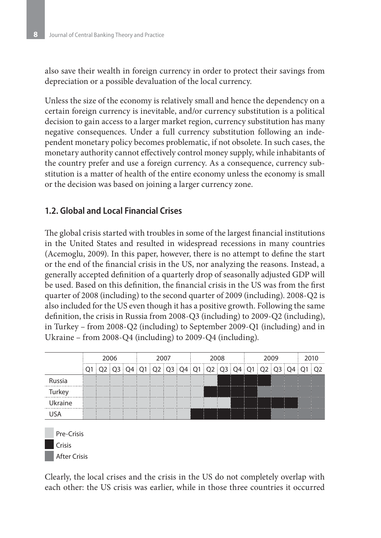also save their wealth in foreign currency in order to protect their savings from depreciation or a possible devaluation of the local currency.

Unless the size of the economy is relatively small and hence the dependency on a certain foreign currency is inevitable, and/or currency substitution is a political decision to gain access to a larger market region, currency substitution has many negative consequences. Under a full currency substitution following an independent monetary policy becomes problematic, if not obsolete. In such cases, the monetary authority cannot effectively control money supply, while inhabitants of the country prefer and use a foreign currency. As a consequence, currency substitution is a matter of health of the entire economy unless the economy is small or the decision was based on joining a larger currency zone.

### **1.2. Global and Local Financial Crises**

The global crisis started with troubles in some of the largest financial institutions in the United States and resulted in widespread recessions in many countries (Acemoglu, 2009). In this paper, however, there is no attempt to define the start or the end of the financial crisis in the US, nor analyzing the reasons. Instead, a generally accepted definition of a quarterly drop of seasonally adjusted GDP will be used. Based on this definition, the financial crisis in the US was from the first quarter of 2008 (including) to the second quarter of 2009 (including). 2008-Q2 is also included for the US even though it has a positive growth. Following the same definition, the crisis in Russia from 2008-Q3 (including) to 2009-Q2 (including), in Turkey – from 2008-Q2 (including) to September 2009-Q1 (including) and in Ukraine – from 2008-Q4 (including) to 2009-Q4 (including).



After Crisis

Clearly, the local crises and the crisis in the US do not completely overlap with each other: the US crisis was earlier, while in those three countries it occurred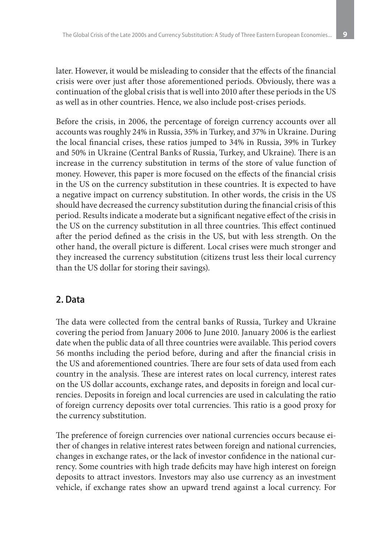later. However, it would be misleading to consider that the effects of the financial crisis were over just after those aforementioned periods. Obviously, there was a continuation of the global crisis that is well into 2010 after these periods in the US as well as in other countries. Hence, we also include post-crises periods.

Before the crisis, in 2006, the percentage of foreign currency accounts over all accounts was roughly 24% in Russia, 35% in Turkey, and 37% in Ukraine. During the local financial crises, these ratios jumped to 34% in Russia, 39% in Turkey and 50% in Ukraine (Central Banks of Russia, Turkey, and Ukraine). There is an increase in the currency substitution in terms of the store of value function of money. However, this paper is more focused on the effects of the financial crisis in the US on the currency substitution in these countries. It is expected to have a negative impact on currency substitution. In other words, the crisis in the US should have decreased the currency substitution during the financial crisis of this period. Results indicate a moderate but a significant negative effect of the crisis in the US on the currency substitution in all three countries. This effect continued after the period defined as the crisis in the US, but with less strength. On the other hand, the overall picture is different. Local crises were much stronger and they increased the currency substitution (citizens trust less their local currency than the US dollar for storing their savings).

# **2. Data**

The data were collected from the central banks of Russia, Turkey and Ukraine covering the period from January 2006 to June 2010. January 2006 is the earliest date when the public data of all three countries were available. This period covers 56 months including the period before, during and after the financial crisis in the US and aforementioned countries. There are four sets of data used from each country in the analysis. These are interest rates on local currency, interest rates on the US dollar accounts, exchange rates, and deposits in foreign and local currencies. Deposits in foreign and local currencies are used in calculating the ratio of foreign currency deposits over total currencies. This ratio is a good proxy for the currency substitution.

The preference of foreign currencies over national currencies occurs because either of changes in relative interest rates between foreign and national currencies, changes in exchange rates, or the lack of investor confidence in the national currency. Some countries with high trade deficits may have high interest on foreign deposits to attract investors. Investors may also use currency as an investment vehicle, if exchange rates show an upward trend against a local currency. For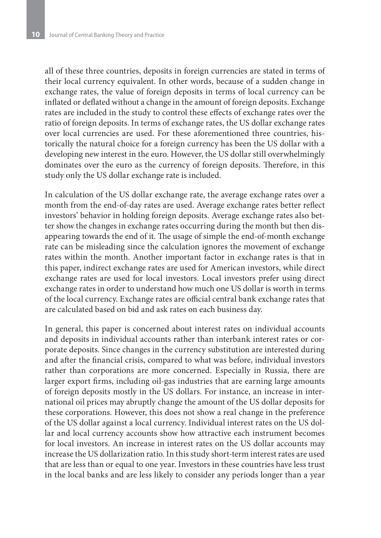all of these three countries, deposits in foreign currencies are stated in terms of their local currency equivalent. In other words, because of a sudden change in exchange rates, the value of foreign deposits in terms of local currency can be inflated or deflated without a change in the amount of foreign deposits. Exchange rates are included in the study to control these effects of exchange rates over the ratio of foreign deposits. In terms of exchange rates, the US dollar exchange rates over local currencies are used. For these aforementioned three countries, historically the natural choice for a foreign currency has been the US dollar with a developing new interest in the euro. However, the US dollar still overwhelmingly dominates over the euro as the currency of foreign deposits. Therefore, in this study only the US dollar exchange rate is included.

In calculation of the US dollar exchange rate, the average exchange rates over a month from the end-of-day rates are used. Average exchange rates better reflect investors' behavior in holding foreign deposits. Average exchange rates also better show the changes in exchange rates occurring during the month but then disappearing towards the end of it. The usage of simple the end-of-month exchange rate can be misleading since the calculation ignores the movement of exchange rates within the month. Another important factor in exchange rates is that in this paper, indirect exchange rates are used for American investors, while direct exchange rates are used for local investors. Local investors prefer using direct exchange rates in order to understand how much one US dollar is worth in terms of the local currency. Exchange rates are official central bank exchange rates that are calculated based on bid and ask rates on each business day.

In general, this paper is concerned about interest rates on individual accounts and deposits in individual accounts rather than interbank interest rates or corporate deposits. Since changes in the currency substitution are interested during and after the financial crisis, compared to what was before, individual investors rather than corporations are more concerned. Especially in Russia, there are larger export firms, including oil-gas industries that are earning large amounts of foreign deposits mostly in the US dollars. For instance, an increase in international oil prices may abruptly change the amount of the US dollar deposits for these corporations. However, this does not show a real change in the preference of the US dollar against a local currency. Individual interest rates on the US dollar and local currency accounts show how attractive each instrument becomes for local investors. An increase in interest rates on the US dollar accounts may increase the US dollarization ratio. In this study short-term interest rates are used that are less than or equal to one year. Investors in these countries have less trust in the local banks and are less likely to consider any periods longer than a year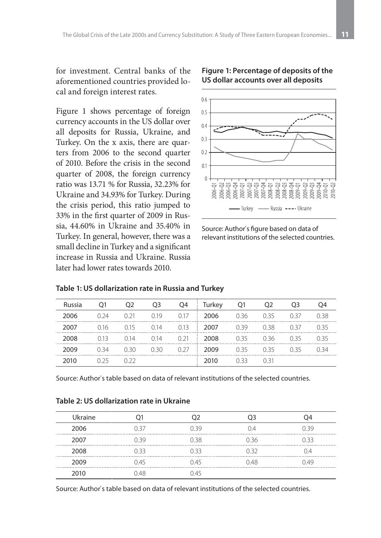for investment. Central banks of the aforementioned countries provided local and foreign interest rates.

Figure 1 shows percentage of foreign currency accounts in the US dollar over all deposits for Russia, Ukraine, and Turkey. On the x axis, there are quarters from 2006 to the second quarter of 2010. Before the crisis in the second quarter of 2008, the foreign currency ratio was 13.71 % for Russia, 32.23% for Ukraine and 34.93% for Turkey. During the crisis period, this ratio jumped to 33% in the first quarter of 2009 in Russia, 44.60% in Ukraine and 35.40% in Turkey. In general, however, there was a small decline in Turkey and a significant increase in Russia and Ukraine. Russia later had lower rates towards 2010.



**Figure 1: Percentage of deposits of the US dollar accounts over all deposits**

Source: Author`s figure based on data of relevant institutions of the selected countries.

|  | Table 1: US dollarization rate in Russia and Turkey |
|--|-----------------------------------------------------|
|--|-----------------------------------------------------|

| Russia |      | O <sub>2</sub> | O <sub>3</sub>                     | Q4          | Turkey | - 01 | O <sub>2</sub> | O <sub>3</sub> |      |
|--------|------|----------------|------------------------------------|-------------|--------|------|----------------|----------------|------|
| 2006   | በ ን4 | 0.21           | 0.19                               | 0.17<br>- 1 | 2006   | 036  | 0.35           | 0.37           | በ 38 |
| 2007   | 016  |                | $0.15$ $0.14$ $0.13$ <b>2007</b>   |             |        | 0.39 | 0.38           | O 37           | 035  |
| 2008   | 0.13 |                | $0.14$ $0.14$ $0.21$ $\vdots$ 2008 |             |        | 0.35 | 0.36           | O 35           | 035  |
|        | በ 34 | 0.30           | 0.30                               | $0.27$ :    | 2009   | 0.35 | 0.35           | O 35           | በ 34 |
| ንበ1በ   |      |                |                                    |             | 2010   | 033. | O 31           |                |      |

Source: Author`s table based on data of relevant institutions of the selected countries.

|  |  | Table 2: US dollarization rate in Ukraine |
|--|--|-------------------------------------------|
|--|--|-------------------------------------------|

| Ukraine |      |      |      |      |
|---------|------|------|------|------|
| 2006    | በ 37 | N 30 | ∩4   | N 39 |
| 2007    | O 39 | 0.38 | 036  | U 33 |
| 2008    | O 33 | 0.33 | U 3J |      |
| 2009    | 045  | N 45 | 048  | 149  |
| 2010    | 048  | N 45 |      |      |

Source: Author`s table based on data of relevant institutions of the selected countries.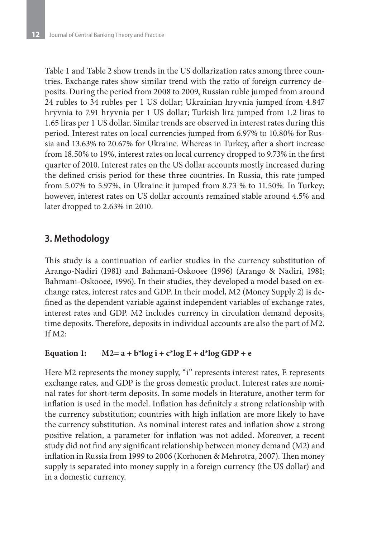Table 1 and Table 2 show trends in the US dollarization rates among three countries. Exchange rates show similar trend with the ratio of foreign currency deposits. During the period from 2008 to 2009, Russian ruble jumped from around 24 rubles to 34 rubles per 1 US dollar; Ukrainian hryvnia jumped from 4.847 hryvnia to 7.91 hryvnia per 1 US dollar; Turkish lira jumped from 1.2 liras to 1.65 liras per 1 US dollar. Similar trends are observed in interest rates during this period. Interest rates on local currencies jumped from 6.97% to 10.80% for Russia and 13.63% to 20.67% for Ukraine. Whereas in Turkey, after a short increase from 18.50% to 19%, interest rates on local currency dropped to 9.73% in the first quarter of 2010. Interest rates on the US dollar accounts mostly increased during the defined crisis period for these three countries. In Russia, this rate jumped from 5.07% to 5.97%, in Ukraine it jumped from 8.73 % to 11.50%. In Turkey; however, interest rates on US dollar accounts remained stable around 4.5% and later dropped to 2.63% in 2010.

# **3. Methodology**

This study is a continuation of earlier studies in the currency substitution of Arango-Nadiri (1981) and Bahmani-Oskooee (1996) (Arango & Nadiri, 1981; Bahmani-Oskooee, 1996). In their studies, they developed a model based on exchange rates, interest rates and GDP. In their model, M2 (Money Supply 2) is defined as the dependent variable against independent variables of exchange rates, interest rates and GDP. M2 includes currency in circulation demand deposits, time deposits. Therefore, deposits in individual accounts are also the part of M2. If  $M2$ :

#### Equation 1:  $M2 = a + b*log i + c*log E + d*log GDP + e$

Here M2 represents the money supply, "i" represents interest rates, E represents exchange rates, and GDP is the gross domestic product. Interest rates are nominal rates for short-term deposits. In some models in literature, another term for inflation is used in the model. Inflation has definitely a strong relationship with the currency substitution; countries with high inflation are more likely to have the currency substitution. As nominal interest rates and inflation show a strong positive relation, a parameter for inflation was not added. Moreover, a recent study did not find any significant relationship between money demand (M2) and inflation in Russia from 1999 to 2006 (Korhonen & Mehrotra, 2007). Then money supply is separated into money supply in a foreign currency (the US dollar) and in a domestic currency.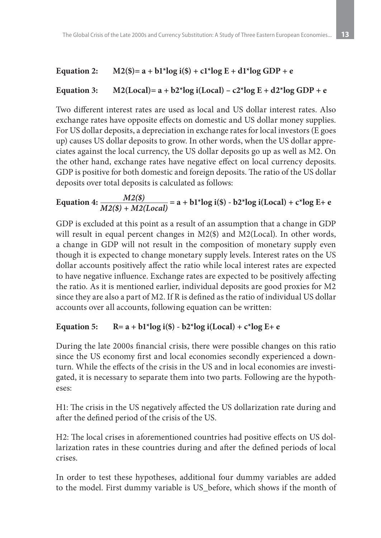#### Equation 2:  $M2(\text{S}) = a + b1^*log i(\text{S}) + c1^*log E + d1^*log GDP + e$

# Equation 3:  $M2(Local) = a + b2*log i(Local) - c2*log E + d2*log GDP + e$

Two different interest rates are used as local and US dollar interest rates. Also exchange rates have opposite effects on domestic and US dollar money supplies. For US dollar deposits, a depreciation in exchange rates for local investors (E goes up) causes US dollar deposits to grow. In other words, when the US dollar appreciates against the local currency, the US dollar deposits go up as well as M2. On the other hand, exchange rates have negative effect on local currency deposits. GDP is positive for both domestic and foreign deposits. The ratio of the US dollar deposits over total deposits is calculated as follows:

Equation 4: 
$$
\frac{M2(\$)}{M2(\$) + M2(Local)}
$$
 = a + b1\*log i( $\$$ ) - b2\*log i(Local) + c\*log E+ e

GDP is excluded at this point as a result of an assumption that a change in GDP will result in equal percent changes in M2(\$) and M2(Local). In other words, a change in GDP will not result in the composition of monetary supply even though it is expected to change monetary supply levels. Interest rates on the US dollar accounts positively affect the ratio while local interest rates are expected to have negative influence. Exchange rates are expected to be positively affecting the ratio. As it is mentioned earlier, individual deposits are good proxies for M2 since they are also a part of M2. If R is defined as the ratio of individual US dollar accounts over all accounts, following equation can be written:

#### Equation 5:  $R = a + b1*log i(\text{S}) - b2*log i(Local) + c*log E + e$

During the late 2000s financial crisis, there were possible changes on this ratio since the US economy first and local economies secondly experienced a downturn. While the effects of the crisis in the US and in local economies are investigated, it is necessary to separate them into two parts. Following are the hypotheses:

H1: The crisis in the US negatively affected the US dollarization rate during and after the defined period of the crisis of the US.

H2: The local crises in aforementioned countries had positive effects on US dollarization rates in these countries during and after the defined periods of local crises.

In order to test these hypotheses, additional four dummy variables are added to the model. First dummy variable is US\_before, which shows if the month of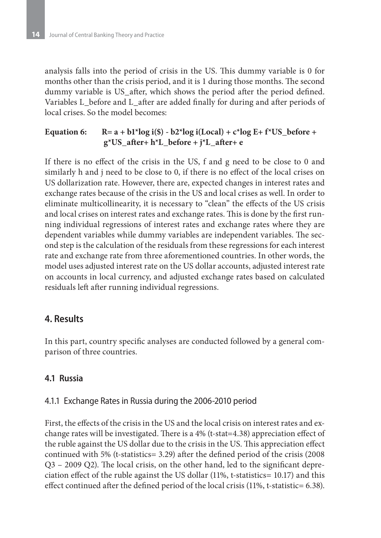analysis falls into the period of crisis in the US. This dummy variable is 0 for months other than the crisis period, and it is 1 during those months. The second dummy variable is US after, which shows the period after the period defined. Variables L\_before and L\_after are added finally for during and after periods of local crises. So the model becomes:

#### Equation 6:  $R = a + b1*log i(s) - b2*log i(Local) + c*log E + f*US\_before +$  **g\*US\_after+ h\*L\_before + j\*L\_after+ e**

If there is no effect of the crisis in the US, f and g need to be close to 0 and similarly h and j need to be close to 0, if there is no effect of the local crises on US dollarization rate. However, there are, expected changes in interest rates and exchange rates because of the crisis in the US and local crises as well. In order to eliminate multicollinearity, it is necessary to "clean" the effects of the US crisis and local crises on interest rates and exchange rates. This is done by the first running individual regressions of interest rates and exchange rates where they are dependent variables while dummy variables are independent variables. The second step is the calculation of the residuals from these regressions for each interest rate and exchange rate from three aforementioned countries. In other words, the model uses adjusted interest rate on the US dollar accounts, adjusted interest rate on accounts in local currency, and adjusted exchange rates based on calculated residuals left after running individual regressions.

# **4. Results**

In this part, country specific analyses are conducted followed by a general comparison of three countries.

# **4.1 Russia**

#### 4.1.1 Exchange Rates in Russia during the 2006-2010 period

First, the effects of the crisis in the US and the local crisis on interest rates and exchange rates will be investigated. There is a 4% (t-stat=4.38) appreciation effect of the ruble against the US dollar due to the crisis in the US. This appreciation effect continued with 5% (t-statistics= 3.29) after the defined period of the crisis (2008 Q3 – 2009 Q2). The local crisis, on the other hand, led to the significant depreciation effect of the ruble against the US dollar (11%, t-statistics= 10.17) and this effect continued after the defined period of the local crisis (11%, t-statistic= 6.38).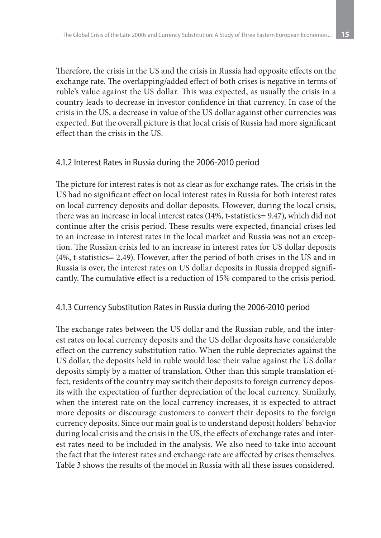Therefore, the crisis in the US and the crisis in Russia had opposite effects on the exchange rate. The overlapping/added effect of both crises is negative in terms of ruble's value against the US dollar. This was expected, as usually the crisis in a country leads to decrease in investor confidence in that currency. In case of the crisis in the US, a decrease in value of the US dollar against other currencies was expected. But the overall picture is that local crisis of Russia had more significant effect than the crisis in the US.

#### 4.1.2 Interest Rates in Russia during the 2006-2010 period

The picture for interest rates is not as clear as for exchange rates. The crisis in the US had no significant effect on local interest rates in Russia for both interest rates on local currency deposits and dollar deposits. However, during the local crisis, there was an increase in local interest rates (14%, t-statistics= 9.47), which did not continue after the crisis period. These results were expected, financial crises led to an increase in interest rates in the local market and Russia was not an exception. The Russian crisis led to an increase in interest rates for US dollar deposits (4%, t-statistics= 2.49). However, after the period of both crises in the US and in Russia is over, the interest rates on US dollar deposits in Russia dropped significantly. The cumulative effect is a reduction of 15% compared to the crisis period.

#### 4.1.3 Currency Substitution Rates in Russia during the 2006-2010 period

The exchange rates between the US dollar and the Russian ruble, and the interest rates on local currency deposits and the US dollar deposits have considerable effect on the currency substitution ratio. When the ruble depreciates against the US dollar, the deposits held in ruble would lose their value against the US dollar deposits simply by a matter of translation. Other than this simple translation effect, residents of the country may switch their deposits to foreign currency deposits with the expectation of further depreciation of the local currency. Similarly, when the interest rate on the local currency increases, it is expected to attract more deposits or discourage customers to convert their deposits to the foreign currency deposits. Since our main goal is to understand deposit holders' behavior during local crisis and the crisis in the US, the effects of exchange rates and interest rates need to be included in the analysis. We also need to take into account the fact that the interest rates and exchange rate are affected by crises themselves. Table 3 shows the results of the model in Russia with all these issues considered.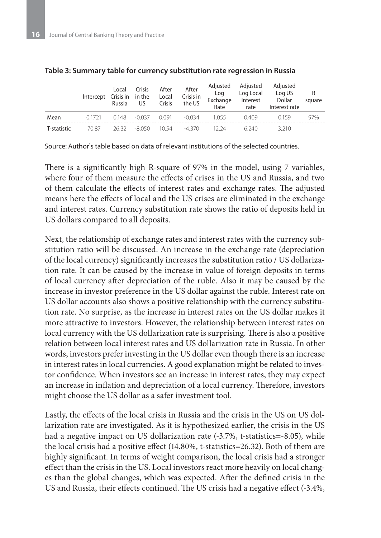|             | Intercept Crisis in | Local<br>Russia | Crisis<br>in the<br>US | After<br>Local<br>Crisis | After<br>Crisis in<br>the US | Adjusted<br>Log<br>Exchange<br>Rate | Adjusted<br>Log Local<br>Interest<br>rate | Adjusted<br>Log US<br>Dollar<br>Interest rate | R<br>square |
|-------------|---------------------|-----------------|------------------------|--------------------------|------------------------------|-------------------------------------|-------------------------------------------|-----------------------------------------------|-------------|
| Mean        | 01721               | 0.148           | $-0.037$               | 0.091                    | $-0.034$                     | 1 055                               | 0.409                                     | 0159                                          | 97%         |
| T-statistic | 70.87               | 26.32           | $-8050$                | 10.54                    | -4 370                       | 12 24                               | 6.240                                     | 3 2 1 0                                       |             |

**Table 3: Summary table for currency substitution rate regression in Russia**

Source: Author`s table based on data of relevant institutions of the selected countries.

There is a significantly high R-square of 97% in the model, using 7 variables, where four of them measure the effects of crises in the US and Russia, and two of them calculate the effects of interest rates and exchange rates. The adjusted means here the effects of local and the US crises are eliminated in the exchange and interest rates. Currency substitution rate shows the ratio of deposits held in US dollars compared to all deposits.

Next, the relationship of exchange rates and interest rates with the currency substitution ratio will be discussed. An increase in the exchange rate (depreciation of the local currency) significantly increases the substitution ratio / US dollarization rate. It can be caused by the increase in value of foreign deposits in terms of local currency after depreciation of the ruble. Also it may be caused by the increase in investor preference in the US dollar against the ruble. Interest rate on US dollar accounts also shows a positive relationship with the currency substitution rate. No surprise, as the increase in interest rates on the US dollar makes it more attractive to investors. However, the relationship between interest rates on local currency with the US dollarization rate is surprising. There is also a positive relation between local interest rates and US dollarization rate in Russia. In other words, investors prefer investing in the US dollar even though there is an increase in interest rates in local currencies. A good explanation might be related to investor confidence. When investors see an increase in interest rates, they may expect an increase in inflation and depreciation of a local currency. Therefore, investors might choose the US dollar as a safer investment tool.

Lastly, the effects of the local crisis in Russia and the crisis in the US on US dollarization rate are investigated. As it is hypothesized earlier, the crisis in the US had a negative impact on US dollarization rate (-3.7%, t-statistics=-8.05), while the local crisis had a positive effect (14.80%, t-statistics=26.32). Both of them are highly significant. In terms of weight comparison, the local crisis had a stronger effect than the crisis in the US. Local investors react more heavily on local changes than the global changes, which was expected. After the defined crisis in the US and Russia, their effects continued. The US crisis had a negative effect (-3.4%,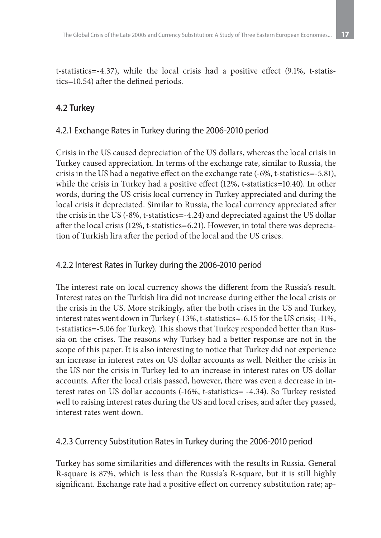t-statistics=-4.37), while the local crisis had a positive effect (9.1%, t-statistics=10.54) after the defined periods.

#### **4.2 Turkey**

#### 4.2.1 Exchange Rates in Turkey during the 2006-2010 period

Crisis in the US caused depreciation of the US dollars, whereas the local crisis in Turkey caused appreciation. In terms of the exchange rate, similar to Russia, the crisis in the US had a negative effect on the exchange rate (-6%, t-statistics=-5.81), while the crisis in Turkey had a positive effect (12%, t-statistics=10.40). In other words, during the US crisis local currency in Turkey appreciated and during the local crisis it depreciated. Similar to Russia, the local currency appreciated after the crisis in the US (-8%, t-statistics=-4.24) and depreciated against the US dollar after the local crisis (12%, t-statistics=6.21). However, in total there was depreciation of Turkish lira after the period of the local and the US crises.

#### 4.2.2 Interest Rates in Turkey during the 2006-2010 period

The interest rate on local currency shows the different from the Russia's result. Interest rates on the Turkish lira did not increase during either the local crisis or the crisis in the US. More strikingly, after the both crises in the US and Turkey, interest rates went down in Turkey (-13%, t-statistics=-6.15 for the US crisis; -11%, t-statistics=-5.06 for Turkey). This shows that Turkey responded better than Russia on the crises. The reasons why Turkey had a better response are not in the scope of this paper. It is also interesting to notice that Turkey did not experience an increase in interest rates on US dollar accounts as well. Neither the crisis in the US nor the crisis in Turkey led to an increase in interest rates on US dollar accounts. After the local crisis passed, however, there was even a decrease in interest rates on US dollar accounts (-16%, t-statistics= -4.34). So Turkey resisted well to raising interest rates during the US and local crises, and after they passed, interest rates went down.

#### 4.2.3 Currency Substitution Rates in Turkey during the 2006-2010 period

Turkey has some similarities and differences with the results in Russia. General R-square is 87%, which is less than the Russia's R-square, but it is still highly significant. Exchange rate had a positive effect on currency substitution rate; ap-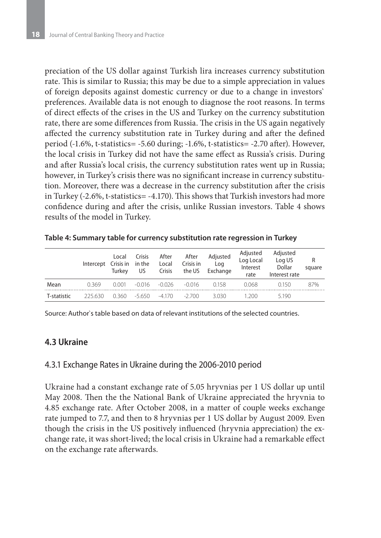preciation of the US dollar against Turkish lira increases currency substitution rate. This is similar to Russia; this may be due to a simple appreciation in values of foreign deposits against domestic currency or due to a change in investors` preferences. Available data is not enough to diagnose the root reasons. In terms of direct effects of the crises in the US and Turkey on the currency substitution rate, there are some differences from Russia. The crisis in the US again negatively affected the currency substitution rate in Turkey during and after the defined period (-1.6%, t-statistics= -5.60 during; -1.6%, t-statistics= -2.70 after). However, the local crisis in Turkey did not have the same effect as Russia's crisis. During and after Russia's local crisis, the currency substitution rates went up in Russia; however, in Turkey's crisis there was no significant increase in currency substitution. Moreover, there was a decrease in the currency substitution after the crisis in Turkey (-2.6%, t-statistics= -4.170). This shows that Turkish investors had more confidence during and after the crisis, unlike Russian investors. Table 4 shows results of the model in Turkey.

|             | Intercept Crisis in in the | Local<br>Turkev | Crisis<br>US. | After<br>Local<br>Crisis | After<br>Crisis in<br>the US | Adjusted<br>Log<br>Exchange | Adjusted<br>Log Local<br>Interest<br>rate | Adjusted<br>Log US<br>Dollar<br>Interest rate | R<br>square |
|-------------|----------------------------|-----------------|---------------|--------------------------|------------------------------|-----------------------------|-------------------------------------------|-----------------------------------------------|-------------|
| Mean        | 0.369                      | 0.001           | $-0.016$      | $-0.026$                 | $-0.016$                     | 0.158                       | 0.068                                     | 0.150                                         | 87%         |
| T-statistic | 225.630                    | 0.360           | $-5650$       | $-4170$                  | $-2700$                      | 3030                        | -200                                      | 5.190                                         |             |

**Table 4: Summary table for currency substitution rate regression in Turkey**

Source: Author`s table based on data of relevant institutions of the selected countries.

#### **4.3 Ukraine**

#### 4.3.1 Exchange Rates in Ukraine during the 2006-2010 period

Ukraine had a constant exchange rate of 5.05 hryvnias per 1 US dollar up until May 2008. Then the the National Bank of Ukraine appreciated the hryvnia to 4.85 exchange rate. After October 2008, in a matter of couple weeks exchange rate jumped to 7.7, and then to 8 hryvnias per 1 US dollar by August 2009. Even though the crisis in the US positively influenced (hryvnia appreciation) the exchange rate, it was short-lived; the local crisis in Ukraine had a remarkable effect on the exchange rate afterwards.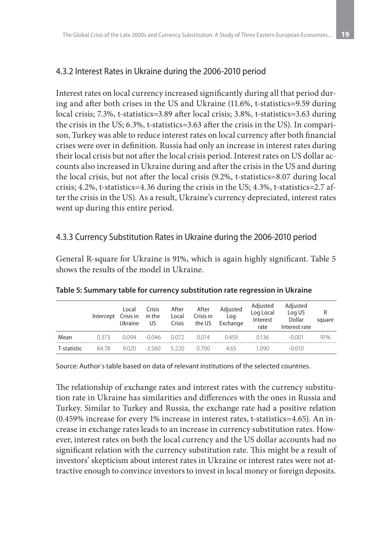## 4.3.2 Interest Rates in Ukraine during the 2006-2010 period

Interest rates on local currency increased significantly during all that period during and after both crises in the US and Ukraine (11.6%, t-statistics=9.59 during local crisis; 7.3%, t-statistics=3.89 after local crisis; 3.8%, t-statistics=3.63 during the crisis in the US; 6.3%, t-statistics=3.63 after the crisis in the US). In comparison, Turkey was able to reduce interest rates on local currency after both financial crises were over in definition. Russia had only an increase in interest rates during their local crisis but not after the local crisis period. Interest rates on US dollar accounts also increased in Ukraine during and after the crisis in the US and during the local crisis, but not after the local crisis (9.2%, t-statistics=8.07 during local crisis; 4.2%, t-statistics=4.36 during the crisis in the US; 4.3%, t-statistics=2.7 after the crisis in the US). As a result, Ukraine's currency depreciated, interest rates went up during this entire period.

#### 4.3.3 Currency Substitution Rates in Ukraine during the 2006-2010 period

General R-square for Ukraine is 91%, which is again highly significant. Table 5 shows the results of the model in Ukraine.

|             | Intercept | Local<br>Crisis in<br>Ukraine | Crisis<br>in the<br>US | After<br>Local<br>Crisis | After<br>Crisis in<br>the US | Adjusted<br>Log<br>Exchange | Adjusted<br>Log Local<br>Interest<br>rate | Adjusted<br>Log US<br>Dollar<br>Interest rate | R<br>square |
|-------------|-----------|-------------------------------|------------------------|--------------------------|------------------------------|-----------------------------|-------------------------------------------|-----------------------------------------------|-------------|
| Mean        | 0.373     | 0.094                         | $-0.046$               | 0.072                    | 0.014                        | 0459                        | 0136                                      | $-0.001$                                      | 91%         |
| T-statistic | 8478      | 9.020                         | $-3.560$               | 5220                     | 0.700                        | 465                         | 1090                                      | $-0.010$                                      |             |

**Table 5: Summary table for currency substitution rate regression in Ukraine**

Source: Author`s table based on data of relevant institutions of the selected countries.

The relationship of exchange rates and interest rates with the currency substitution rate in Ukraine has similarities and differences with the ones in Russia and Turkey. Similar to Turkey and Russia, the exchange rate had a positive relation (0.459% increase for every 1% increase in interest rates, t-statistics=4.65). An increase in exchange rates leads to an increase in currency substitution rates. However, interest rates on both the local currency and the US dollar accounts had no significant relation with the currency substitution rate. This might be a result of investors' skepticism about interest rates in Ukraine or interest rates were not attractive enough to convince investors to invest in local money or foreign deposits.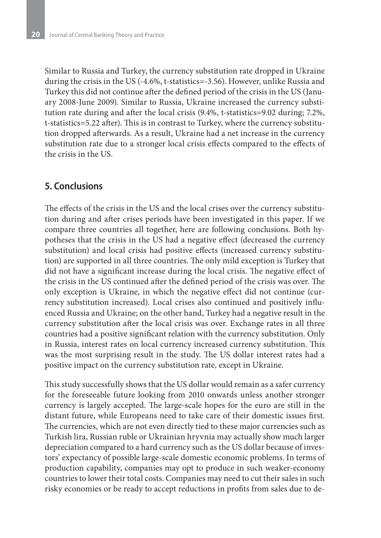Similar to Russia and Turkey, the currency substitution rate dropped in Ukraine during the crisis in the US (-4.6%, t-statistics=-3.56). However, unlike Russia and Turkey this did not continue after the defined period of the crisis in the US (January 2008-June 2009). Similar to Russia, Ukraine increased the currency substitution rate during and after the local crisis (9.4%, t-statistics=9.02 during; 7.2%, t-statistics=5.22 after). This is in contrast to Turkey, where the currency substitution dropped afterwards. As a result, Ukraine had a net increase in the currency substitution rate due to a stronger local crisis effects compared to the effects of the crisis in the US.

### **5. Conclusions**

The effects of the crisis in the US and the local crises over the currency substitution during and after crises periods have been investigated in this paper. If we compare three countries all together, here are following conclusions. Both hypotheses that the crisis in the US had a negative effect (decreased the currency substitution) and local crisis had positive effects (increased currency substitution) are supported in all three countries. The only mild exception is Turkey that did not have a significant increase during the local crisis. The negative effect of the crisis in the US continued after the defined period of the crisis was over. The only exception is Ukraine, in which the negative effect did not continue (currency substitution increased). Local crises also continued and positively influenced Russia and Ukraine; on the other hand, Turkey had a negative result in the currency substitution after the local crisis was over. Exchange rates in all three countries had a positive significant relation with the currency substitution. Only in Russia, interest rates on local currency increased currency substitution. This was the most surprising result in the study. The US dollar interest rates had a positive impact on the currency substitution rate, except in Ukraine.

This study successfully shows that the US dollar would remain as a safer currency for the foreseeable future looking from 2010 onwards unless another stronger currency is largely accepted. The large-scale hopes for the euro are still in the distant future, while Europeans need to take care of their domestic issues first. The currencies, which are not even directly tied to these major currencies such as Turkish lira, Russian ruble or Ukrainian hryvnia may actually show much larger depreciation compared to a hard currency such as the US dollar because of investors' expectancy of possible large-scale domestic economic problems. In terms of production capability, companies may opt to produce in such weaker-economy countries to lower their total costs. Companies may need to cut their sales in such risky economies or be ready to accept reductions in profits from sales due to de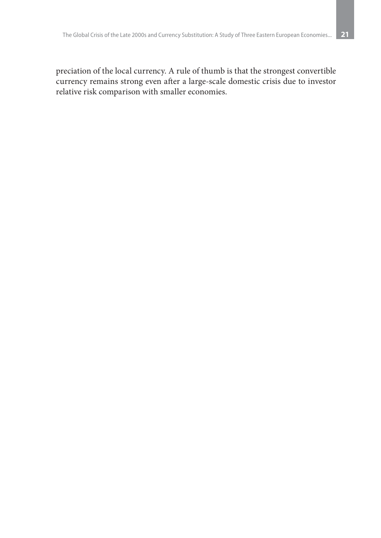preciation of the local currency. A rule of thumb is that the strongest convertible currency remains strong even after a large-scale domestic crisis due to investor relative risk comparison with smaller economies.